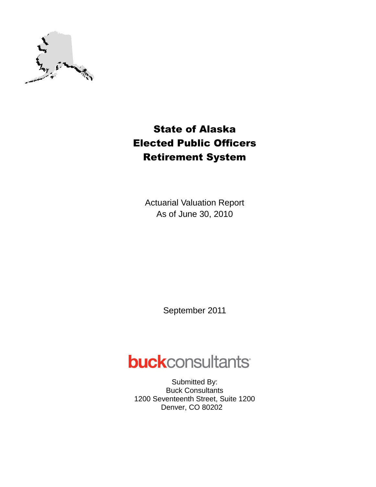

# State of Alaska Elected Public Officers Retirement System

Actuarial Valuation Report As of June 30, 2010

September 2011

# **buck**consultants

Submitted By: Buck Consultants 1200 Seventeenth Street, Suite 1200 Denver, CO 80202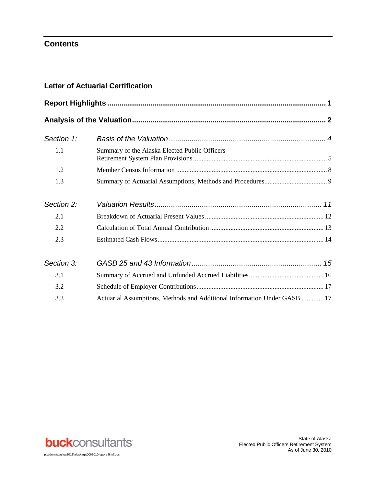# **Contents**

| Section 1: |                                                                          |  |
|------------|--------------------------------------------------------------------------|--|
| 1.1        | Summary of the Alaska Elected Public Officers                            |  |
| 1.2        |                                                                          |  |
| 1.3        |                                                                          |  |
| Section 2: |                                                                          |  |
| 2.1        |                                                                          |  |
| 2.2        |                                                                          |  |
| 2.3        |                                                                          |  |
| Section 3: |                                                                          |  |
| 3.1        |                                                                          |  |
| 3.2        |                                                                          |  |
| 3.3        | Actuarial Assumptions, Methods and Additional Information Under GASB  17 |  |



State of Alaska Elected Public Officers Retirement System As of June 30, 2010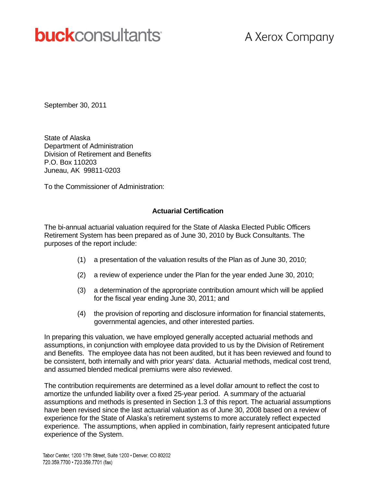# **buck**consultants

# A Xerox Company

September 30, 2011

State of Alaska Department of Administration Division of Retirement and Benefits P.O. Box 110203 Juneau, AK 99811-0203

To the Commissioner of Administration:

#### **Actuarial Certification**

The bi-annual actuarial valuation required for the State of Alaska Elected Public Officers Retirement System has been prepared as of June 30, 2010 by Buck Consultants. The purposes of the report include:

- (1) a presentation of the valuation results of the Plan as of June 30, 2010;
- (2) a review of experience under the Plan for the year ended June 30, 2010;
- (3) a determination of the appropriate contribution amount which will be applied for the fiscal year ending June 30, 2011; and
- (4) the provision of reporting and disclosure information for financial statements, governmental agencies, and other interested parties.

In preparing this valuation, we have employed generally accepted actuarial methods and assumptions, in conjunction with employee data provided to us by the Division of Retirement and Benefits. The employee data has not been audited, but it has been reviewed and found to be consistent, both internally and with prior years' data. Actuarial methods, medical cost trend, and assumed blended medical premiums were also reviewed.

The contribution requirements are determined as a level dollar amount to reflect the cost to amortize the unfunded liability over a fixed 25-year period. A summary of the actuarial assumptions and methods is presented in Section 1.3 of this report. The actuarial assumptions have been revised since the last actuarial valuation as of June 30, 2008 based on a review of experience for the State of Alaska's retirement systems to more accurately reflect expected experience. The assumptions, when applied in combination, fairly represent anticipated future experience of the System.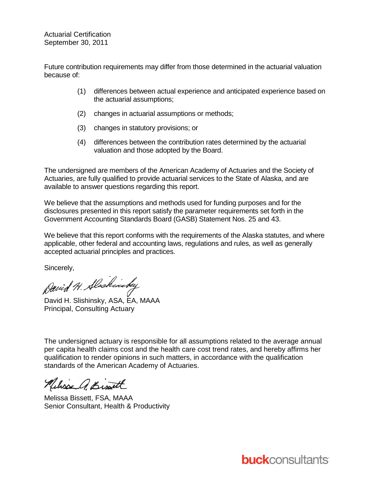Actuarial Certification September 30, 2011

Future contribution requirements may differ from those determined in the actuarial valuation because of:

- (1) differences between actual experience and anticipated experience based on the actuarial assumptions;
- (2) changes in actuarial assumptions or methods;
- (3) changes in statutory provisions; or
- (4) differences between the contribution rates determined by the actuarial valuation and those adopted by the Board.

The undersigned are members of the American Academy of Actuaries and the Society of Actuaries, are fully qualified to provide actuarial services to the State of Alaska, and are available to answer questions regarding this report.

We believe that the assumptions and methods used for funding purposes and for the disclosures presented in this report satisfy the parameter requirements set forth in the Government Accounting Standards Board (GASB) Statement Nos. 25 and 43.

We believe that this report conforms with the requirements of the Alaska statutes, and where applicable, other federal and accounting laws, regulations and rules, as well as generally accepted actuarial principles and practices.

Sincerely,

Devid H. Alschinday

David H. Slishinsky, ASA, EA, MAAA Principal, Consulting Actuary

The undersigned actuary is responsible for all assumptions related to the average annual per capita health claims cost and the health care cost trend rates, and hereby affirms her qualification to render opinions in such matters, in accordance with the qualification standards of the American Academy of Actuaries.

Relixe a Binett

Melissa Bissett, FSA, MAAA Senior Consultant, Health & Productivity

**buck**consultants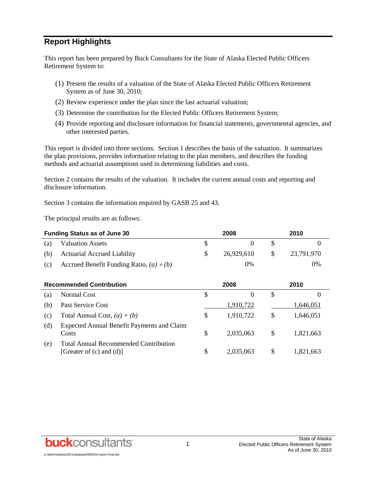# **Report Highlights**

This report has been prepared by Buck Consultants for the State of Alaska Elected Public Officers Retirement System to:

- (1) Present the results of a valuation of the State of Alaska Elected Public Officers Retirement System as of June 30, 2010;
- (2) Review experience under the plan since the last actuarial valuation;
- (3) Determine the contribution for the Elected Public Officers Retirement System;
- (4) Provide reporting and disclosure information for financial statements, governmental agencies, and other interested parties.

This report is divided into three sections. Section 1 describes the basis of the valuation. It summarizes the plan provisions, provides information relating to the plan members, and describes the funding methods and actuarial assumptions used in determining liabilities and costs.

Section 2 contains the results of the valuation. It includes the current annual costs and reporting and disclosure information.

Section 3 contains the information required by GASB 25 and 43.

The principal results are as follows:

| <b>Funding Status as of June 30</b> |                                               | 2008 |            |     | 2010       |  |  |
|-------------------------------------|-----------------------------------------------|------|------------|-----|------------|--|--|
| (a)                                 | <b>Valuation Assets</b>                       |      |            |     |            |  |  |
| (b)                                 | <b>Actuarial Accrued Liability</b>            |      | 26,929,610 | -SS | 23.791.970 |  |  |
| (c)                                 | Accrued Benefit Funding Ratio, $(a) \div (b)$ |      | 0%         |     | 0%         |  |  |

| <b>Recommended Contribution</b> |                                                                               | 2008 |           | 2010 |           |
|---------------------------------|-------------------------------------------------------------------------------|------|-----------|------|-----------|
| (a)                             | Normal Cost                                                                   | \$   | $\theta$  | S    | $\theta$  |
| (b)                             | Past Service Cost                                                             |      | 1,910,722 |      | 1,646,051 |
| (c)                             | Total Annual Cost, $(a) + (b)$                                                | \$   | 1,910,722 | S    | 1,646,051 |
| (d)                             | <b>Expected Annual Benefit Payments and Claim</b><br>Costs                    | S    | 2,035,063 | \$   | 1,821,663 |
| (e)                             | <b>Total Annual Recommended Contribution</b><br>[Greater of $(c)$ and $(d)$ ] | S    | 2,035,063 | S    | 1,821,663 |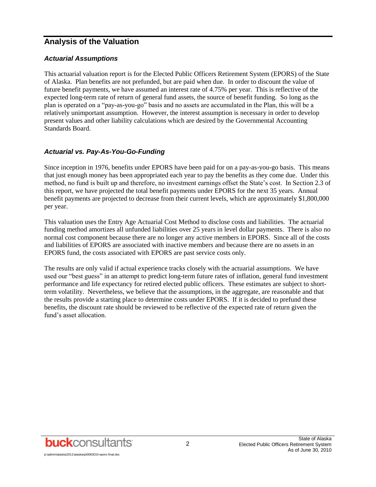### **Analysis of the Valuation**

#### *Actuarial Assumptions*

This actuarial valuation report is for the Elected Public Officers Retirement System (EPORS) of the State of Alaska. Plan benefits are not prefunded, but are paid when due. In order to discount the value of future benefit payments, we have assumed an interest rate of 4.75% per year. This is reflective of the expected long-term rate of return of general fund assets, the source of benefit funding. So long as the plan is operated on a "pay-as-you-go" basis and no assets are accumulated in the Plan, this will be a relatively unimportant assumption. However, the interest assumption is necessary in order to develop present values and other liability calculations which are desired by the Governmental Accounting Standards Board.

#### *Actuarial vs. Pay-As-You-Go-Funding*

Since inception in 1976, benefits under EPORS have been paid for on a pay-as-you-go basis. This means that just enough money has been appropriated each year to pay the benefits as they come due. Under this method, no fund is built up and therefore, no investment earnings offset the State's cost. In Section 2.3 of this report, we have projected the total benefit payments under EPORS for the next 35 years. Annual benefit payments are projected to decrease from their current levels, which are approximately \$1,800,000 per year.

This valuation uses the Entry Age Actuarial Cost Method to disclose costs and liabilities. The actuarial funding method amortizes all unfunded liabilities over 25 years in level dollar payments. There is also no normal cost component because there are no longer any active members in EPORS. Since all of the costs and liabilities of EPORS are associated with inactive members and because there are no assets in an EPORS fund, the costs associated with EPORS are past service costs only.

The results are only valid if actual experience tracks closely with the actuarial assumptions. We have used our "best guess" in an attempt to predict long-term future rates of inflation, general fund investment performance and life expectancy for retired elected public officers. These estimates are subject to shortterm volatility. Nevertheless, we believe that the assumptions, in the aggregate, are reasonable and that the results provide a starting place to determine costs under EPORS. If it is decided to prefund these benefits, the discount rate should be reviewed to be reflective of the expected rate of return given the fund's asset allocation.

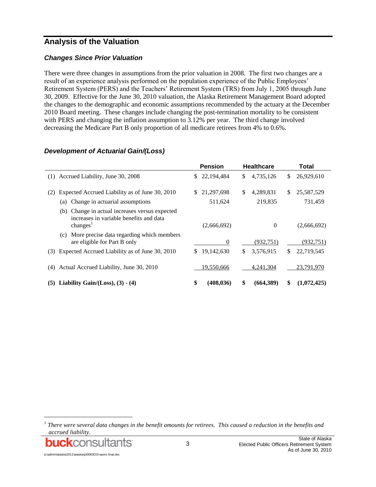# **Analysis of the Valuation**

#### *Changes Since Prior Valuation*

There were three changes in assumptions from the prior valuation in 2008. The first two changes are a result of an experience analysis performed on the population experience of the Public Employees' Retirement System (PERS) and the Teachers' Retirement System (TRS) from July 1, 2005 through June 30, 2009. Effective for the June 30, 2010 valuation, the Alaska Retirement Management Board adopted the changes to the demographic and economic assumptions recommended by the actuary at the December 2010 Board meeting. These changes include changing the post-termination mortality to be consistent with PERS and changing the inflation assumption to 3.12% per year. The third change involved decreasing the Medicare Part B only proportion of all medicare retirees from 4% to 0.6%.

|                                                                                                                      | <b>Pension</b>   | <b>Healthcare</b> | <b>Total</b>      |
|----------------------------------------------------------------------------------------------------------------------|------------------|-------------------|-------------------|
| (1) Accrued Liability, June 30, 2008                                                                                 | 22,194,484<br>S. | 4,735,126<br>\$   | 26,929,610<br>\$  |
| Expected Accrued Liability as of June 30, 2010<br>(2)                                                                | 21,297,698<br>S. | 4,289,831<br>\$   | 25,587,529<br>\$  |
| Change in actuarial assumptions<br>(a)                                                                               | 511,624          | 219,835           | 731,459           |
| Change in actual increases versus expected<br>(b)<br>increases in variable benefits and data<br>changes <sup>1</sup> | (2,666,692)      | $\mathbf{0}$      | (2,666,692)       |
| More precise data regarding which members<br>(c)<br>are eligible for Part B only                                     | $\overline{0}$   | (932,751)         | (932,751)         |
| Expected Accrued Liability as of June 30, 2010<br>(3)                                                                | 19,142,630       | 3,576,915<br>\$   | 22,719,545<br>\$  |
| Actual Accrued Liability, June 30, 2010<br>(4)                                                                       | 19,550,666       | 4,241,304         | 23,791,970        |
| (5) Liability Gain/(Loss), $(3) - (4)$                                                                               | (408, 036)<br>\$ | (664,389)<br>\$   | \$<br>(1,072,425) |

#### *Development of Actuarial Gain/(Loss)*

l

*<sup>1</sup> There were several data changes in the benefit amounts for retirees. This caused a reduction in the benefits and accrued liability.*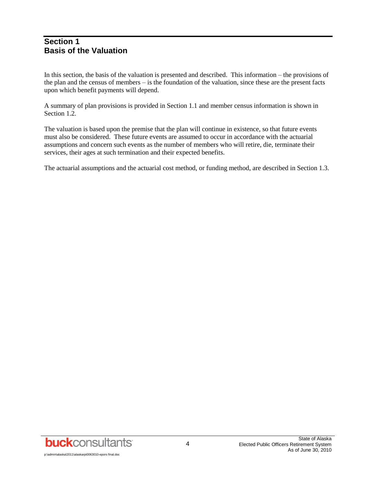#### **Section 1 Basis of the Valuation**

In this section, the basis of the valuation is presented and described. This information – the provisions of the plan and the census of members – is the foundation of the valuation, since these are the present facts upon which benefit payments will depend.

A summary of plan provisions is provided in Section 1.1 and member census information is shown in Section 1.2.

The valuation is based upon the premise that the plan will continue in existence, so that future events must also be considered. These future events are assumed to occur in accordance with the actuarial assumptions and concern such events as the number of members who will retire, die, terminate their services, their ages at such termination and their expected benefits.

The actuarial assumptions and the actuarial cost method, or funding method, are described in Section 1.3.

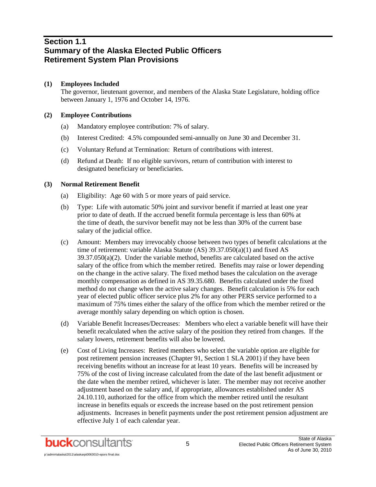### **Section 1.1 Summary of the Alaska Elected Public Officers Retirement System Plan Provisions**

#### **(1) Employees Included**

The governor, lieutenant governor, and members of the Alaska State Legislature, holding office between January 1, 1976 and October 14, 1976.

#### **(2) Employee Contributions**

- (a) Mandatory employee contribution: 7% of salary.
- (b) Interest Credited: 4.5% compounded semi-annually on June 30 and December 31.
- (c) Voluntary Refund at Termination: Return of contributions with interest.
- (d) Refund at Death: If no eligible survivors, return of contribution with interest to designated beneficiary or beneficiaries.

#### **(3) Normal Retirement Benefit**

- (a) Eligibility: Age 60 with 5 or more years of paid service.
- (b) Type: Life with automatic 50% joint and survivor benefit if married at least one year prior to date of death. If the accrued benefit formula percentage is less than 60% at the time of death, the survivor benefit may not be less than 30% of the current base salary of the judicial office.
- (c) Amount: Members may irrevocably choose between two types of benefit calculations at the time of retirement: variable Alaska Statute (AS) 39.37.050(a)(1) and fixed AS  $39.37.050(a)(2)$ . Under the variable method, benefits are calculated based on the active salary of the office from which the member retired. Benefits may raise or lower depending on the change in the active salary. The fixed method bases the calculation on the average monthly compensation as defined in AS 39.35.680. Benefits calculated under the fixed method do not change when the active salary changes. Benefit calculation is 5% for each year of elected public officer service plus 2% for any other PERS service performed to a maximum of 75% times either the salary of the office from which the member retired or the average monthly salary depending on which option is chosen.
- (d) Variable Benefit Increases/Decreases: Members who elect a variable benefit will have their benefit recalculated when the active salary of the position they retired from changes. If the salary lowers, retirement benefits will also be lowered.
- (e) Cost of Living Increases: Retired members who select the variable option are eligible for post retirement pension increases (Chapter 91, Section 1 SLA 2001) if they have been receiving benefits without an increase for at least 10 years. Benefits will be increased by 75% of the cost of living increase calculated from the date of the last benefit adjustment or the date when the member retired, whichever is later. The member may not receive another adjustment based on the salary and, if appropriate, allowances established under AS 24.10.110, authorized for the office from which the member retired until the resultant increase in benefits equals or exceeds the increase based on the post retirement pension adjustments. Increases in benefit payments under the post retirement pension adjustment are effective July 1 of each calendar year.

p:\admin\alaska\2011\alaskarpt0063010-epors final.do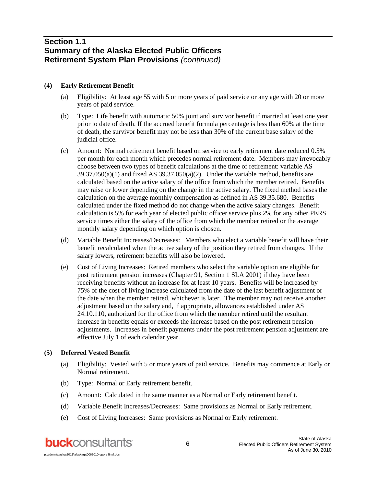### **Section 1.1 Summary of the Alaska Elected Public Officers Retirement System Plan Provisions** *(continued)*

#### **(4) Early Retirement Benefit**

- (a) Eligibility: At least age 55 with 5 or more years of paid service or any age with 20 or more years of paid service.
- (b) Type: Life benefit with automatic 50% joint and survivor benefit if married at least one year prior to date of death. If the accrued benefit formula percentage is less than 60% at the time of death, the survivor benefit may not be less than 30% of the current base salary of the judicial office.
- (c) Amount: Normal retirement benefit based on service to early retirement date reduced 0.5% per month for each month which precedes normal retirement date. Members may irrevocably choose between two types of benefit calculations at the time of retirement: variable AS  $39.37.050(a)(1)$  and fixed AS  $39.37.050(a)(2)$ . Under the variable method, benefits are calculated based on the active salary of the office from which the member retired. Benefits may raise or lower depending on the change in the active salary. The fixed method bases the calculation on the average monthly compensation as defined in AS 39.35.680. Benefits calculated under the fixed method do not change when the active salary changes. Benefit calculation is 5% for each year of elected public officer service plus 2% for any other PERS service times either the salary of the office from which the member retired or the average monthly salary depending on which option is chosen.
- (d) Variable Benefit Increases/Decreases: Members who elect a variable benefit will have their benefit recalculated when the active salary of the position they retired from changes. If the salary lowers, retirement benefits will also be lowered.
- (e) Cost of Living Increases: Retired members who select the variable option are eligible for post retirement pension increases (Chapter 91, Section 1 SLA 2001) if they have been receiving benefits without an increase for at least 10 years. Benefits will be increased by 75% of the cost of living increase calculated from the date of the last benefit adjustment or the date when the member retired, whichever is later. The member may not receive another adjustment based on the salary and, if appropriate, allowances established under AS 24.10.110, authorized for the office from which the member retired until the resultant increase in benefits equals or exceeds the increase based on the post retirement pension adjustments. Increases in benefit payments under the post retirement pension adjustment are effective July 1 of each calendar year.

#### **(5) Deferred Vested Benefit**

- (a) Eligibility: Vested with 5 or more years of paid service. Benefits may commence at Early or Normal retirement.
- (b) Type: Normal or Early retirement benefit.
- (c) Amount: Calculated in the same manner as a Normal or Early retirement benefit.
- (d) Variable Benefit Increases/Decreases: Same provisions as Normal or Early retirement.
- (e) Cost of Living Increases: Same provisions as Normal or Early retirement.

p:\admin\alaska\2011\alaskarpt0063010-epors final.do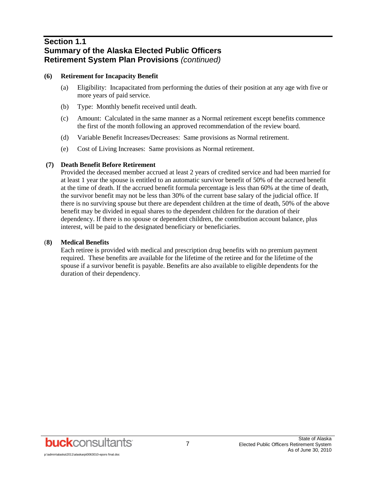# **Section 1.1 Summary of the Alaska Elected Public Officers Retirement System Plan Provisions** *(continued)*

#### **(6) Retirement for Incapacity Benefit**

- (a) Eligibility: Incapacitated from performing the duties of their position at any age with five or more years of paid service.
- (b) Type: Monthly benefit received until death.
- (c) Amount: Calculated in the same manner as a Normal retirement except benefits commence the first of the month following an approved recommendation of the review board.
- (d) Variable Benefit Increases/Decreases: Same provisions as Normal retirement.
- (e) Cost of Living Increases: Same provisions as Normal retirement.

#### **(7) Death Benefit Before Retirement**

Provided the deceased member accrued at least 2 years of credited service and had been married for at least 1 year the spouse is entitled to an automatic survivor benefit of 50% of the accrued benefit at the time of death. If the accrued benefit formula percentage is less than 60% at the time of death, the survivor benefit may not be less than 30% of the current base salary of the judicial office. If there is no surviving spouse but there are dependent children at the time of death, 50% of the above benefit may be divided in equal shares to the dependent children for the duration of their dependency. If there is no spouse or dependent children, the contribution account balance, plus interest, will be paid to the designated beneficiary or beneficiaries.

#### (**8) Medical Benefits**

Each retiree is provided with medical and prescription drug benefits with no premium payment required. These benefits are available for the lifetime of the retiree and for the lifetime of the spouse if a survivor benefit is payable. Benefits are also available to eligible dependents for the duration of their dependency.

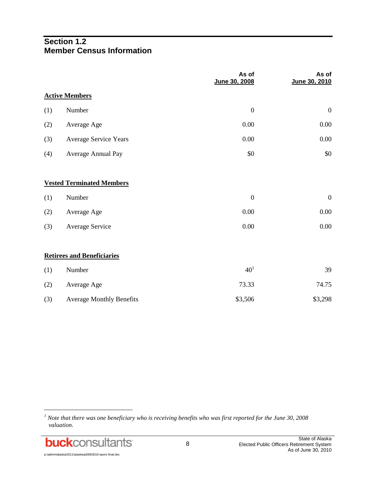# **Section 1.2 Member Census Information**

|     |                                   | As of<br>June 30, 2008 | As of<br>June 30, 2010 |
|-----|-----------------------------------|------------------------|------------------------|
|     | <b>Active Members</b>             |                        |                        |
| (1) | Number                            | $\boldsymbol{0}$       | $\boldsymbol{0}$       |
| (2) | Average Age                       | 0.00                   | 0.00                   |
| (3) | <b>Average Service Years</b>      | 0.00                   | 0.00                   |
| (4) | Average Annual Pay                | \$0                    | \$0                    |
|     | <b>Vested Terminated Members</b>  |                        |                        |
| (1) | Number                            | $\boldsymbol{0}$       | $\boldsymbol{0}$       |
| (2) | Average Age                       | 0.00                   | 0.00                   |
| (3) | <b>Average Service</b>            | 0.00                   | 0.00                   |
|     | <b>Retirees and Beneficiaries</b> |                        |                        |
| (1) | Number                            | 40 <sup>1</sup>        | 39                     |
| (2) | Average Age                       | 73.33                  | 74.75                  |
| (3) | <b>Average Monthly Benefits</b>   | \$3,506                | \$3,298                |

l

*<sup>1</sup> Note that there was one beneficiary who is receiving benefits who was first reported for the June 30, 2008 valuation.*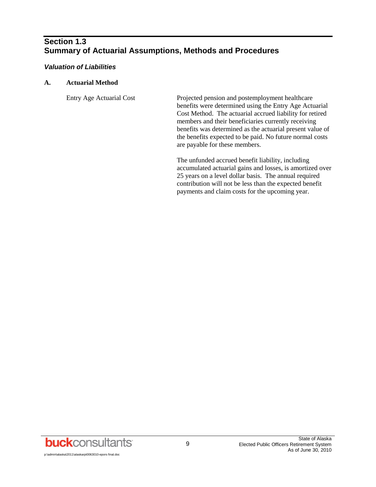# **Section 1.3 Summary of Actuarial Assumptions, Methods and Procedures**

#### *Valuation of Liabilities*

#### **A. Actuarial Method**

Entry Age Actuarial Cost Projected pension and postemployment healthcare benefits were determined using the Entry Age Actuarial Cost Method. The actuarial accrued liability for retired members and their beneficiaries currently receiving benefits was determined as the actuarial present value of the benefits expected to be paid. No future normal costs are payable for these members.

> The unfunded accrued benefit liability, including accumulated actuarial gains and losses, is amortized over 25 years on a level dollar basis. The annual required contribution will not be less than the expected benefit payments and claim costs for the upcoming year.

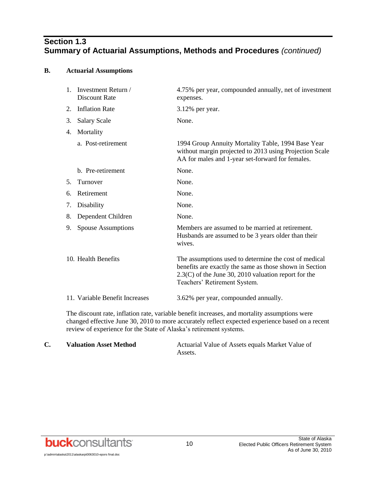# **Section 1.3 Summary of Actuarial Assumptions, Methods and Procedures** *(continued)*

#### **B. Actuarial Assumptions**

|    | 1. Investment Return /<br>Discount Rate | 4.75% per year, compounded annually, net of investment<br>expenses.                                                                                                                                        |
|----|-----------------------------------------|------------------------------------------------------------------------------------------------------------------------------------------------------------------------------------------------------------|
| 2. | <b>Inflation Rate</b>                   | 3.12% per year.                                                                                                                                                                                            |
| 3. | <b>Salary Scale</b>                     | None.                                                                                                                                                                                                      |
| 4. | Mortality                               |                                                                                                                                                                                                            |
|    | a. Post-retirement                      | 1994 Group Annuity Mortality Table, 1994 Base Year<br>without margin projected to 2013 using Projection Scale<br>AA for males and 1-year set-forward for females.                                          |
|    | b. Pre-retirement                       | None.                                                                                                                                                                                                      |
| 5. | Turnover                                | None.                                                                                                                                                                                                      |
| 6. | Retirement                              | None.                                                                                                                                                                                                      |
| 7. | Disability                              | None.                                                                                                                                                                                                      |
| 8. | Dependent Children                      | None.                                                                                                                                                                                                      |
| 9. | Spouse Assumptions                      | Members are assumed to be married at retirement.<br>Husbands are assumed to be 3 years older than their<br>wives.                                                                                          |
|    | 10. Health Benefits                     | The assumptions used to determine the cost of medical<br>benefits are exactly the same as those shown in Section<br>$2.3(C)$ of the June 30, 2010 valuation report for the<br>Teachers' Retirement System. |
|    | 11. Variable Benefit Increases          | 3.62% per year, compounded annually.                                                                                                                                                                       |

The discount rate, inflation rate, variable benefit increases, and mortality assumptions were changed effective June 30, 2010 to more accurately reflect expected experience based on a recent review of experience for the State of Alaska's retirement systems.

| <b>Valuation Asset Method</b> | Actuarial Value of Assets equals Market Value of |
|-------------------------------|--------------------------------------------------|
|                               | Assets.                                          |

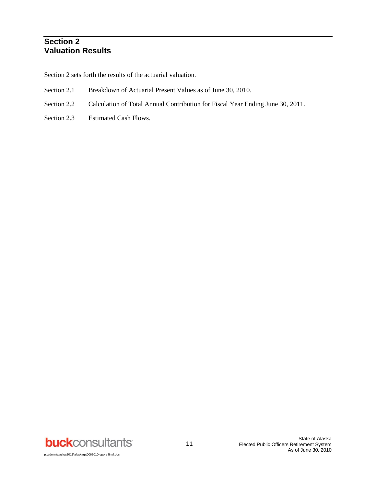# **Section 2 Valuation Results**

Section 2 sets forth the results of the actuarial valuation.

- Section 2.1 Breakdown of Actuarial Present Values as of June 30, 2010.
- Section 2.2 Calculation of Total Annual Contribution for Fiscal Year Ending June 30, 2011.
- Section 2.3 Estimated Cash Flows.

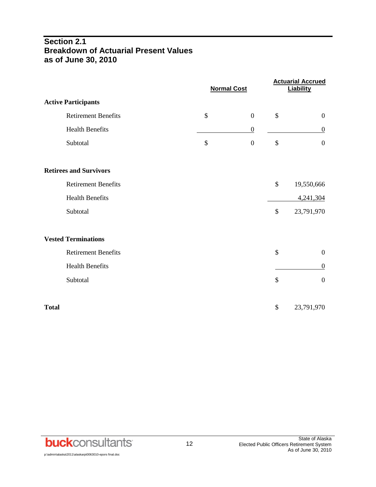# **Section 2.1 Breakdown of Actuarial Present Values as of June 30, 2010**

|                               | <b>Normal Cost</b> |                  | <b>Actuarial Accrued</b><br><b>Liability</b> |
|-------------------------------|--------------------|------------------|----------------------------------------------|
| <b>Active Participants</b>    |                    |                  |                                              |
| <b>Retirement Benefits</b>    | \$                 | $\boldsymbol{0}$ | \$<br>$\boldsymbol{0}$                       |
| <b>Health Benefits</b>        |                    | $\boldsymbol{0}$ | $\boldsymbol{0}$                             |
| Subtotal                      | \$                 | $\boldsymbol{0}$ | \$<br>$\overline{0}$                         |
| <b>Retirees and Survivors</b> |                    |                  |                                              |
| <b>Retirement Benefits</b>    |                    |                  | \$<br>19,550,666                             |
| <b>Health Benefits</b>        |                    |                  | 4,241,304                                    |
| Subtotal                      |                    |                  | \$<br>23,791,970                             |
| <b>Vested Terminations</b>    |                    |                  |                                              |
| <b>Retirement Benefits</b>    |                    |                  | \$<br>$\boldsymbol{0}$                       |
| <b>Health Benefits</b>        |                    |                  | $\boldsymbol{0}$                             |
| Subtotal                      |                    |                  | \$<br>$\boldsymbol{0}$                       |
| <b>Total</b>                  |                    |                  | \$<br>23,791,970                             |

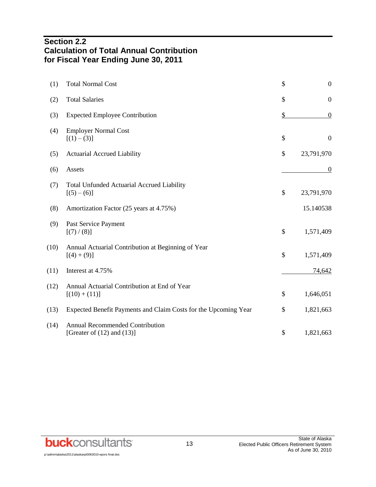# **Section 2.2 Calculation of Total Annual Contribution for Fiscal Year Ending June 30, 2011**

| (1)  | <b>Total Normal Cost</b>                                                  | \$<br>$\boldsymbol{0}$ |
|------|---------------------------------------------------------------------------|------------------------|
| (2)  | <b>Total Salaries</b>                                                     | \$<br>$\boldsymbol{0}$ |
| (3)  | <b>Expected Employee Contribution</b>                                     | \$<br>$\boldsymbol{0}$ |
| (4)  | <b>Employer Normal Cost</b><br>$[(1) - (3)]$                              | \$<br>$\overline{0}$   |
| (5)  | <b>Actuarial Accrued Liability</b>                                        | \$<br>23,791,970       |
| (6)  | Assets                                                                    | $\boldsymbol{0}$       |
| (7)  | <b>Total Unfunded Actuarial Accrued Liability</b><br>$[(5)-(6)]$          | \$<br>23,791,970       |
| (8)  | Amortization Factor (25 years at 4.75%)                                   | 15.140538              |
| (9)  | Past Service Payment<br>[(7)/(8)]                                         | \$<br>1,571,409        |
| (10) | Annual Actuarial Contribution at Beginning of Year<br>$[(4) + (9)]$       | \$<br>1,571,409        |
| (11) | Interest at 4.75%                                                         | 74,642                 |
| (12) | Annual Actuarial Contribution at End of Year<br>$[(10) + (11)]$           | \$<br>1,646,051        |
| (13) | Expected Benefit Payments and Claim Costs for the Upcoming Year           | \$<br>1,821,663        |
| (14) | <b>Annual Recommended Contribution</b><br>[Greater of $(12)$ and $(13)$ ] | \$<br>1,821,663        |
|      |                                                                           |                        |

**buck**consultants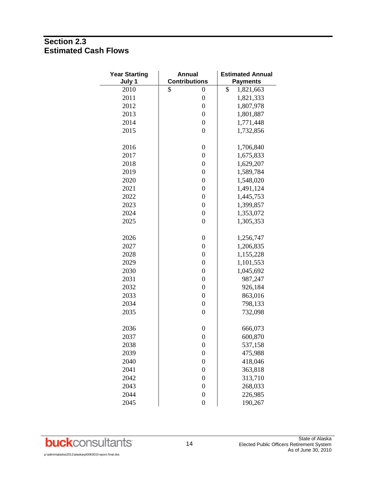# **Section 2.3 Estimated Cash Flows**

| <b>Year Starting</b><br>July 1 | <b>Annual</b><br><b>Contributions</b> | <b>Estimated Annual</b><br><b>Payments</b> |
|--------------------------------|---------------------------------------|--------------------------------------------|
| 2010                           | \$<br>0                               | \$<br>1,821,663                            |
| 2011                           | $\boldsymbol{0}$                      | 1,821,333                                  |
| 2012                           | $\boldsymbol{0}$                      | 1,807,978                                  |
| 2013                           | $\boldsymbol{0}$                      | 1,801,887                                  |
| 2014                           | $\boldsymbol{0}$                      | 1,771,448                                  |
| 2015                           | $\boldsymbol{0}$                      | 1,732,856                                  |
| 2016                           | $\boldsymbol{0}$                      | 1,706,840                                  |
| 2017                           | $\boldsymbol{0}$                      | 1,675,833                                  |
| 2018                           | $\boldsymbol{0}$                      | 1,629,207                                  |
| 2019                           | $\boldsymbol{0}$                      | 1,589,784                                  |
| 2020                           | $\boldsymbol{0}$                      | 1,548,020                                  |
| 2021                           | $\boldsymbol{0}$                      | 1,491,124                                  |
| 2022                           | $\boldsymbol{0}$                      | 1,445,753                                  |
| 2023                           | $\boldsymbol{0}$                      | 1,399,857                                  |
| 2024                           | $\boldsymbol{0}$                      | 1,353,072                                  |
| 2025                           | $\boldsymbol{0}$                      | 1,305,353                                  |
| 2026                           | $\boldsymbol{0}$                      | 1,256,747                                  |
| 2027                           | $\boldsymbol{0}$                      | 1,206,835                                  |
| 2028                           | $\boldsymbol{0}$                      | 1,155,228                                  |
| 2029                           | $\boldsymbol{0}$                      | 1,101,553                                  |
| 2030                           | $\boldsymbol{0}$                      | 1,045,692                                  |
| 2031                           | $\boldsymbol{0}$                      | 987,247                                    |
| 2032                           | $\boldsymbol{0}$                      | 926,184                                    |
| 2033                           | $\boldsymbol{0}$                      | 863,016                                    |
| 2034                           | $\boldsymbol{0}$                      | 798,133                                    |
| 2035                           | $\boldsymbol{0}$                      | 732,098                                    |
| 2036                           | $\boldsymbol{0}$                      | 666,073                                    |
| 2037                           | $\boldsymbol{0}$                      | 600,870                                    |
| 2038                           | $\boldsymbol{0}$                      | 537,158                                    |
| 2039                           | $\boldsymbol{0}$                      | 475,988                                    |
| 2040                           | $\overline{0}$                        | 418,046                                    |
| 2041                           | $\boldsymbol{0}$                      | 363,818                                    |
| 2042                           | $\overline{0}$                        | 313,710                                    |
| 2043                           | $\overline{0}$                        | 268,033                                    |
| 2044                           | $\overline{0}$                        | 226,985                                    |
| 2045                           | $\overline{0}$                        | 190,267                                    |

p:\admin\alaska\2011\alaskarpt0063010-epors final.doc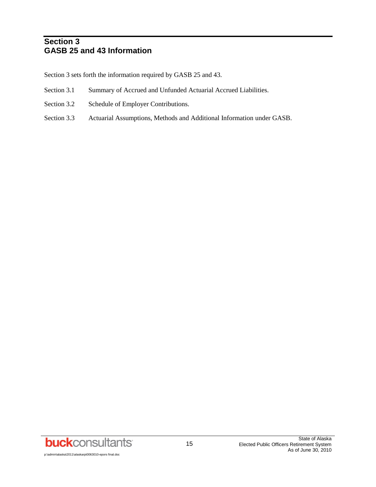# **Section 3 GASB 25 and 43 Information**

Section 3 sets forth the information required by GASB 25 and 43.

- Section 3.1 Summary of Accrued and Unfunded Actuarial Accrued Liabilities.
- Section 3.2 Schedule of Employer Contributions.
- Section 3.3 Actuarial Assumptions, Methods and Additional Information under GASB.

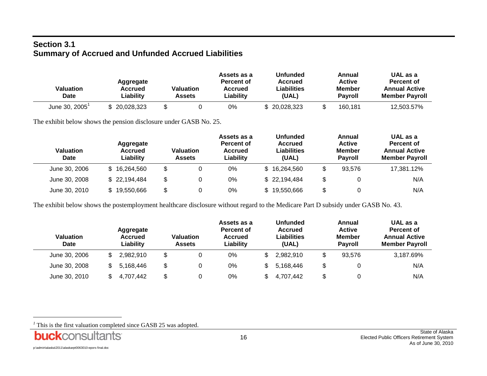# **Section 3.1 Summary of Accrued and Unfunded Accrued Liabilities**

| <b>Valuation</b><br>Date | Aggregate<br>Accrued<br>Liability | <b>Valuation</b><br>Assets | Assets as a<br>Percent of<br>Accrued<br>Liabilitv | Unfunded<br><b>Accrued</b><br>Liabilities<br>(UAL) | Annual<br><b>Active</b><br><b>Member</b><br><b>Pavroll</b> | UAL as a<br>Percent of<br><b>Annual Active</b><br><b>Member Pavroll</b> |
|--------------------------|-----------------------------------|----------------------------|---------------------------------------------------|----------------------------------------------------|------------------------------------------------------------|-------------------------------------------------------------------------|
| June 30, 2005            | \$20,028,323                      |                            | 0%                                                | \$20,028,323                                       | 160.181                                                    | 12.503.57%                                                              |

The exhibit below shows the pension disclosure under GASB No. 25.

| <b>Valuation</b><br><b>Date</b> | Aggregate<br><b>Accrued</b><br>Liability | <b>Valuation</b><br><b>Assets</b> | Assets as a<br>Percent of<br>Accrued<br>Liability | <b>Unfunded</b><br>Accrued<br>Liabilities<br>(UAL) | Annual<br><b>Active</b><br><b>Member</b><br><b>Pavroll</b> | UAL as a<br>Percent of<br><b>Annual Active</b><br><b>Member Payroll</b> |
|---------------------------------|------------------------------------------|-----------------------------------|---------------------------------------------------|----------------------------------------------------|------------------------------------------------------------|-------------------------------------------------------------------------|
| June 30, 2006                   | \$16,264,560                             | \$                                | 0%                                                | \$16,264,560                                       | \$<br>93.576                                               | 17,381.12%                                                              |
| June 30, 2008                   | \$22,194,484                             | \$                                | 0%                                                | \$22,194,484                                       | \$                                                         | N/A                                                                     |
| June 30, 2010                   | 19,550,666                               | \$                                | 0%                                                | 19,550,666                                         | \$                                                         | N/A                                                                     |

The exhibit below shows the postemployment healthcare disclosure without regard to the Medicare Part D subsidy under GASB No. 43.

| <b>Valuation</b><br><b>Date</b> | Aggregate<br>Accrued<br>Liability | <b>Valuation</b><br><b>Assets</b> | Assets as a<br>Percent of<br>Accrued<br>Liability | <b>Unfunded</b><br>Accrued<br>Liabilities<br>(UAL) | Annual<br><b>Active</b><br><b>Member</b><br><b>Pavroll</b> | UAL as a<br>Percent of<br><b>Annual Active</b><br><b>Member Payroll</b> |
|---------------------------------|-----------------------------------|-----------------------------------|---------------------------------------------------|----------------------------------------------------|------------------------------------------------------------|-------------------------------------------------------------------------|
| June 30, 2006                   | 2.982.910                         | \$                                | 0%                                                | 2.982.910                                          | \$<br>93.576                                               | 3.187.69%                                                               |
| June 30, 2008                   | 5.168.446                         | \$                                | 0%                                                | 5.168.446                                          | \$                                                         | N/A                                                                     |
| June 30, 2010                   | 4.707.442                         | \$                                | 0%                                                | 4.707.442                                          | \$                                                         | N/A                                                                     |

This is the first valuation completed since GASB 25 was adopted.

l